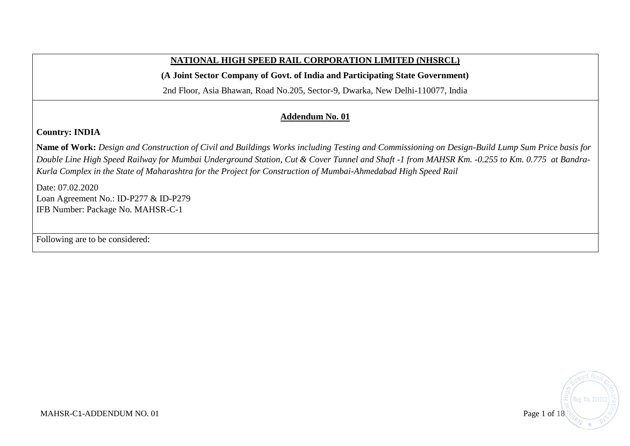## **NATIONAL HIGH SPEED RAIL CORPORATION LIMITED (NHSRCL)**

**(A Joint Sector Company of Govt. of India and Participating State Government)** 

2nd Floor, Asia Bhawan, Road No.205, Sector-9, Dwarka, New Delhi-110077, India

## **Addendum No. 01**

## **Country: INDIA**

**Name of Work:** *Design and Construction of Civil and Buildings Works including Testing and Commissioning on Design-Build Lump Sum Price basis for Double Line High Speed Railway for Mumbai Underground Station, Cut & Cover Tunnel and Shaft -1 from MAHSR Km. -0.255 to Km. 0.775 at Bandra-Kurla Complex in the State of Maharashtra for the Project for Construction of Mumbai-Ahmedabad High Speed Rail*

Date: 07.02.2020 Loan Agreement No.: ID-P277 & ID-P279 IFB Number: Package No. MAHSR-C-1

Following are to be considered:

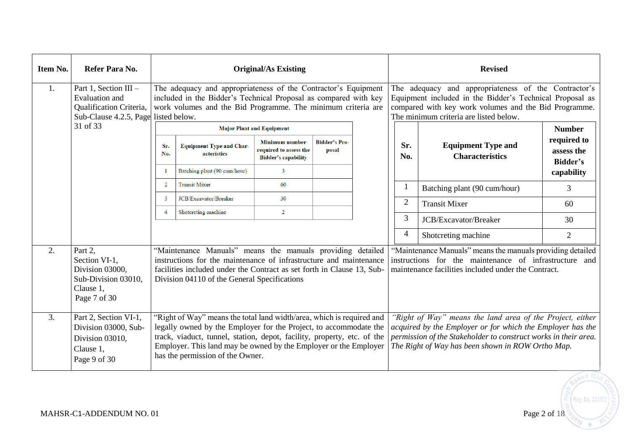| Item No. | Refer Para No.                                                                                                    |                                                                                                                                                                                                    |                                                                                                                                                                                                                                                                                                                               | <b>Original/As Existing</b>                                                                                                         |                               |  | <b>Revised</b>                                                                                                                                                                                                      |                                                                                                                                                                             |                                                                                                                                                                                                                                                 |                                                                      |
|----------|-------------------------------------------------------------------------------------------------------------------|----------------------------------------------------------------------------------------------------------------------------------------------------------------------------------------------------|-------------------------------------------------------------------------------------------------------------------------------------------------------------------------------------------------------------------------------------------------------------------------------------------------------------------------------|-------------------------------------------------------------------------------------------------------------------------------------|-------------------------------|--|---------------------------------------------------------------------------------------------------------------------------------------------------------------------------------------------------------------------|-----------------------------------------------------------------------------------------------------------------------------------------------------------------------------|-------------------------------------------------------------------------------------------------------------------------------------------------------------------------------------------------------------------------------------------------|----------------------------------------------------------------------|
| 1.       | Part 1, Section III -<br><b>Evaluation</b> and<br>Qualification Criteria,<br>Sub-Clause 4.2.5, Page listed below. | The adequacy and appropriateness of the Contractor's Equipment<br>included in the Bidder's Technical Proposal as compared with key<br>work volumes and the Bid Programme. The minimum criteria are |                                                                                                                                                                                                                                                                                                                               |                                                                                                                                     |                               |  | The adequacy and appropriateness of the Contractor's<br>Equipment included in the Bidder's Technical Proposal as<br>compared with key work volumes and the Bid Programme.<br>The minimum criteria are listed below. |                                                                                                                                                                             |                                                                                                                                                                                                                                                 |                                                                      |
|          | 31 of 33                                                                                                          | Sr.<br>No.                                                                                                                                                                                         | <b>Equipment Type and Char-</b><br>acteristics<br>Batching plant (90 cum/hour)                                                                                                                                                                                                                                                | <b>Major Plant and Equipment</b><br><b>Minimum number</b><br>required to assess the<br><b>Bidder's capability</b><br>$\overline{3}$ | <b>Bidder's Pro-</b><br>posal |  |                                                                                                                                                                                                                     | Sr.<br>No.                                                                                                                                                                  | <b>Equipment Type and</b><br><b>Characteristics</b>                                                                                                                                                                                             | <b>Number</b><br>required to<br>assess the<br>Bidder's<br>capability |
|          |                                                                                                                   | $\overline{2}$                                                                                                                                                                                     | <b>Transit Mixer</b>                                                                                                                                                                                                                                                                                                          | 60                                                                                                                                  |                               |  |                                                                                                                                                                                                                     |                                                                                                                                                                             | Batching plant (90 cum/hour)                                                                                                                                                                                                                    | 3                                                                    |
|          |                                                                                                                   | 3<br>$\boldsymbol{\varDelta}$                                                                                                                                                                      | JCB/Excavator/Breaker<br>Shotereting machine                                                                                                                                                                                                                                                                                  | 30<br>$\overline{2}$                                                                                                                |                               |  |                                                                                                                                                                                                                     | $\overline{2}$                                                                                                                                                              | <b>Transit Mixer</b>                                                                                                                                                                                                                            | 60                                                                   |
|          |                                                                                                                   |                                                                                                                                                                                                    |                                                                                                                                                                                                                                                                                                                               |                                                                                                                                     |                               |  |                                                                                                                                                                                                                     | $\overline{3}$                                                                                                                                                              | <b>JCB/Excavator/Breaker</b>                                                                                                                                                                                                                    | 30                                                                   |
|          |                                                                                                                   |                                                                                                                                                                                                    |                                                                                                                                                                                                                                                                                                                               |                                                                                                                                     |                               |  |                                                                                                                                                                                                                     | 4                                                                                                                                                                           | Shotcreting machine                                                                                                                                                                                                                             | 2                                                                    |
| 2.       | Part 2.<br>Section VI-1,<br>Division 03000,<br>Sub-Division 03010,<br>Clause 1,<br>Page 7 of 30                   |                                                                                                                                                                                                    | "Maintenance Manuals" means the manuals providing detailed<br>instructions for the maintenance of infrastructure and maintenance<br>facilities included under the Contract as set forth in Clause 13, Sub-<br>Division 04110 of the General Specifications                                                                    |                                                                                                                                     |                               |  |                                                                                                                                                                                                                     | "Maintenance Manuals" means the manuals providing detailed<br>instructions for the maintenance of infrastructure and<br>maintenance facilities included under the Contract. |                                                                                                                                                                                                                                                 |                                                                      |
| 3.       | Part 2, Section VI-1,<br>Division 03000, Sub-<br>Division 03010,<br>Clause 1,<br>Page 9 of 30                     |                                                                                                                                                                                                    | "Right of Way" means the total land width/area, which is required and<br>legally owned by the Employer for the Project, to accommodate the<br>track, viaduct, tunnel, station, depot, facility, property, etc. of the<br>Employer. This land may be owned by the Employer or the Employer<br>has the permission of the Owner. |                                                                                                                                     |                               |  |                                                                                                                                                                                                                     |                                                                                                                                                                             | "Right of Way" means the land area of the Project, either<br>acquired by the Employer or for which the Employer has the<br>permission of the Stakeholder to construct works in their area.<br>The Right of Way has been shown in ROW Ortho Map. |                                                                      |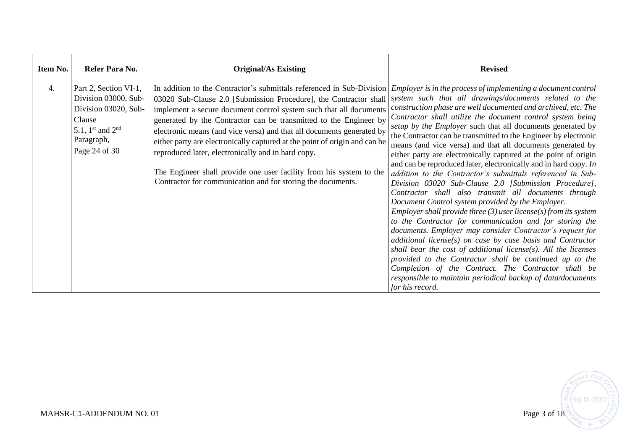| Item No. | Refer Para No.                                                                                                                                             | <b>Original/As Existing</b>                                                                                                                                                                                                                                                                                                                                                                                                                                                                                                                                                                                                              | <b>Revised</b>                                                                                                                                                                                                                                                                                                                                                                                                                                                                                                                                                                                                                                                                                                                                                                                                                                                                                                                                                                                                                                                                                                                                                                                                                                                                                                                                                           |
|----------|------------------------------------------------------------------------------------------------------------------------------------------------------------|------------------------------------------------------------------------------------------------------------------------------------------------------------------------------------------------------------------------------------------------------------------------------------------------------------------------------------------------------------------------------------------------------------------------------------------------------------------------------------------------------------------------------------------------------------------------------------------------------------------------------------------|--------------------------------------------------------------------------------------------------------------------------------------------------------------------------------------------------------------------------------------------------------------------------------------------------------------------------------------------------------------------------------------------------------------------------------------------------------------------------------------------------------------------------------------------------------------------------------------------------------------------------------------------------------------------------------------------------------------------------------------------------------------------------------------------------------------------------------------------------------------------------------------------------------------------------------------------------------------------------------------------------------------------------------------------------------------------------------------------------------------------------------------------------------------------------------------------------------------------------------------------------------------------------------------------------------------------------------------------------------------------------|
| 4.       | Part 2, Section VI-1,<br>Division 03000, Sub-<br>Division 03020, Sub-<br>Clause<br>5.1, $1^{\text{st}}$ and $2^{\text{nd}}$<br>Paragraph,<br>Page 24 of 30 | In addition to the Contractor's submittals referenced in Sub-Division<br>03020 Sub-Clause 2.0 [Submission Procedure], the Contractor shall<br>implement a secure document control system such that all documents<br>generated by the Contractor can be transmitted to the Engineer by<br>electronic means (and vice versa) and that all documents generated by<br>either party are electronically captured at the point of origin and can be<br>reproduced later, electronically and in hard copy.<br>The Engineer shall provide one user facility from his system to the<br>Contractor for communication and for storing the documents. | Employer is in the process of implementing a document control<br>system such that all drawings/documents related to the<br>construction phase are well documented and archived, etc. The<br>Contractor shall utilize the document control system being<br>setup by the Employer such that all documents generated by<br>the Contractor can be transmitted to the Engineer by electronic<br>means (and vice versa) and that all documents generated by<br>either party are electronically captured at the point of origin<br>and can be reproduced later, electronically and in hard copy. $In$<br>addition to the Contractor's submittals referenced in Sub-<br>Division 03020 Sub-Clause 2.0 [Submission Procedure],<br>Contractor shall also transmit all documents through<br>Document Control system provided by the Employer.<br>Employer shall provide three $(3)$ user license(s) from its system<br>to the Contractor for communication and for storing the<br>documents. Employer may consider Contractor's request for<br>additional license( $s$ ) on case by case basis and Contractor<br>shall bear the cost of additional license(s). All the licenses<br>provided to the Contractor shall be continued up to the<br>Completion of the Contract. The Contractor shall be<br>responsible to maintain periodical backup of data/documents<br>for his record. |

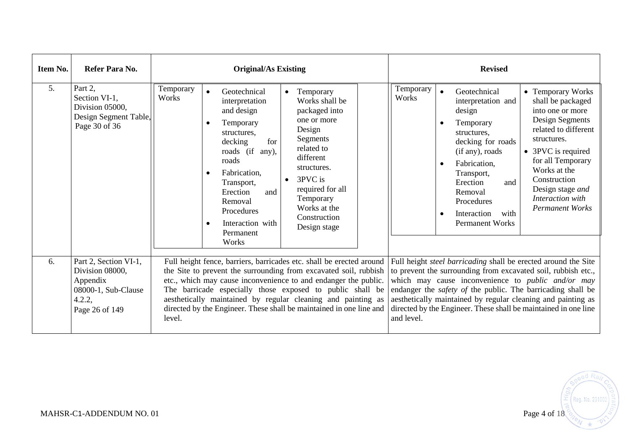| Item No.       | Refer Para No.                                                                                          | <b>Original/As Existing</b>                                                                                                                                                                                                                                                                                                                                                                                                                                                                                                                     | <b>Revised</b>                                                                                                                                                                                                                                                                                                                                                                                                                                                                                                                                                                |
|----------------|---------------------------------------------------------------------------------------------------------|-------------------------------------------------------------------------------------------------------------------------------------------------------------------------------------------------------------------------------------------------------------------------------------------------------------------------------------------------------------------------------------------------------------------------------------------------------------------------------------------------------------------------------------------------|-------------------------------------------------------------------------------------------------------------------------------------------------------------------------------------------------------------------------------------------------------------------------------------------------------------------------------------------------------------------------------------------------------------------------------------------------------------------------------------------------------------------------------------------------------------------------------|
| 5 <sub>1</sub> | Part 2,<br>Section VI-1,<br>Division 05000,<br>Design Segment Table,<br>Page 30 of 36                   | Temporary<br>Geotechnical<br>Temporary<br>$\bullet$<br>$\bullet$<br>Works<br>Works shall be<br>interpretation<br>and design<br>packaged into<br>one or more<br>Temporary<br>Design<br>structures,<br>Segments<br>for<br>decking<br>related to<br>roads (if any),<br>different<br>roads<br>structures.<br>Fabrication,<br>$\bullet$<br>3PVC is<br>$\bullet$<br>Transport,<br>required for all<br>and<br>Erection<br>Temporary<br>Removal<br>Works at the<br>Procedures<br>Construction<br>Interaction with<br>Design stage<br>Permanent<br>Works | Temporary<br>Geotechnical<br>• Temporary Works<br>$\bullet$<br>Works<br>interpretation and<br>shall be packaged<br>into one or more<br>design<br>Design Segments<br>Temporary<br>related to different<br>structures.<br>structures.<br>decking for roads<br>• 3PVC is required<br>(if any), roads<br>for all Temporary<br>Fabrication,<br>$\bullet$<br>Works at the<br>Transport,<br>Construction<br>Erection<br>and<br>Design stage and<br>Removal<br>Interaction with<br>Procedures<br><b>Permanent Works</b><br>Interaction<br>with<br>$\bullet$<br><b>Permanent Works</b> |
| 6.             | Part 2, Section VI-1,<br>Division 08000,<br>Appendix<br>08000-1, Sub-Clause<br>4.2.2,<br>Page 26 of 149 | Full height fence, barriers, barricades etc. shall be erected around<br>the Site to prevent the surrounding from excavated soil, rubbish<br>etc., which may cause inconvenience to and endanger the public.<br>The barricade especially those exposed to public shall be<br>aesthetically maintained by regular cleaning and painting as<br>directed by the Engineer. These shall be maintained in one line and<br>level.                                                                                                                       | Full height steel barricading shall be erected around the Site<br>to prevent the surrounding from excavated soil, rubbish etc.,<br>which may cause inconvenience to <i>public and/or may</i><br>endanger the <i>safety of</i> the public. The barricading shall be<br>aesthetically maintained by regular cleaning and painting as<br>directed by the Engineer. These shall be maintained in one line<br>and level.                                                                                                                                                           |

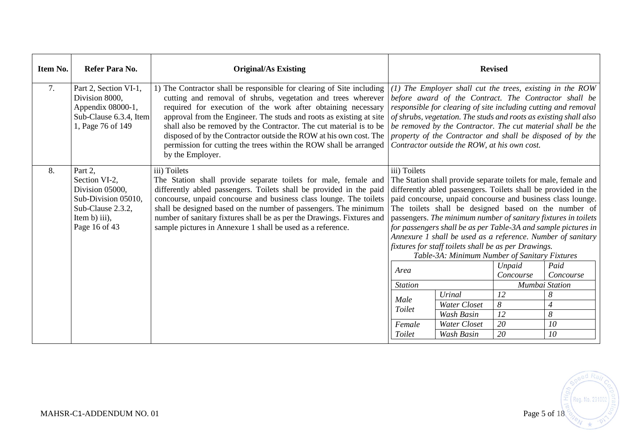| Item No. | Refer Para No.                                                                                                            | <b>Original/As Existing</b>                                                                                                                                                                                                                                                                                                                                                                                                                                                                                       | <b>Revised</b>                                                                                                                                                                                                                                                                                                                                                                                                                                                                                                                                                                       |                            |                     |                                     |  |
|----------|---------------------------------------------------------------------------------------------------------------------------|-------------------------------------------------------------------------------------------------------------------------------------------------------------------------------------------------------------------------------------------------------------------------------------------------------------------------------------------------------------------------------------------------------------------------------------------------------------------------------------------------------------------|--------------------------------------------------------------------------------------------------------------------------------------------------------------------------------------------------------------------------------------------------------------------------------------------------------------------------------------------------------------------------------------------------------------------------------------------------------------------------------------------------------------------------------------------------------------------------------------|----------------------------|---------------------|-------------------------------------|--|
| 7.       | Part 2, Section VI-1,<br>Division 8000,<br>Appendix 08000-1,<br>Sub-Clause 6.3.4, Item<br>1, Page 76 of 149               | 1) The Contractor shall be responsible for clearing of Site including<br>cutting and removal of shrubs, vegetation and trees wherever<br>required for execution of the work after obtaining necessary<br>approval from the Engineer. The studs and roots as existing at site<br>shall also be removed by the Contractor. The cut material is to be<br>disposed of by the Contractor outside the ROW at his own cost. The<br>permission for cutting the trees within the ROW shall be arranged<br>by the Employer. | $(1)$ The Employer shall cut the trees, existing in the ROW<br>before award of the Contract. The Contractor shall be<br>responsible for clearing of site including cutting and removal<br>of shrubs, vegetation. The studs and roots as existing shall also<br>be removed by the Contractor. The cut material shall be the<br>property of the Contractor and shall be disposed of by the<br>Contractor outside the ROW, at his own cost.                                                                                                                                             |                            |                     |                                     |  |
| 8.       | Part 2,<br>Section VI-2,<br>Division 05000,<br>Sub-Division 05010,<br>Sub-Clause 2.3.2,<br>Item b) iii),<br>Page 16 of 43 | iii) Toilets<br>The Station shall provide separate toilets for male, female and<br>differently abled passengers. Toilets shall be provided in the paid<br>concourse, unpaid concourse and business class lounge. The toilets<br>shall be designed based on the number of passengers. The minimum<br>number of sanitary fixtures shall be as per the Drawings. Fixtures and<br>sample pictures in Annexure 1 shall be used as a reference.                                                                         | iii) Toilets<br>The Station shall provide separate toilets for male, female and<br>differently abled passengers. Toilets shall be provided in the<br>paid concourse, unpaid concourse and business class lounge.<br>The toilets shall be designed based on the number of<br>passengers. The minimum number of sanitary fixtures in toilets<br>for passengers shall be as per Table-3A and sample pictures in<br>Annexure 1 shall be used as a reference. Number of sanitary<br>fixtures for staff toilets shall be as per Drawings.<br>Table-3A: Minimum Number of Sanitary Fixtures |                            |                     |                                     |  |
|          |                                                                                                                           |                                                                                                                                                                                                                                                                                                                                                                                                                                                                                                                   | Area<br><b>Station</b>                                                                                                                                                                                                                                                                                                                                                                                                                                                                                                                                                               |                            | Unpaid<br>Concourse | Paid<br>Concourse<br>Mumbai Station |  |
|          |                                                                                                                           |                                                                                                                                                                                                                                                                                                                                                                                                                                                                                                                   | Male                                                                                                                                                                                                                                                                                                                                                                                                                                                                                                                                                                                 | Urinal                     | 12                  | $\boldsymbol{8}$                    |  |
|          |                                                                                                                           |                                                                                                                                                                                                                                                                                                                                                                                                                                                                                                                   | Toilet                                                                                                                                                                                                                                                                                                                                                                                                                                                                                                                                                                               | Water Closet               | 8                   | $\overline{4}$                      |  |
|          |                                                                                                                           |                                                                                                                                                                                                                                                                                                                                                                                                                                                                                                                   | Female                                                                                                                                                                                                                                                                                                                                                                                                                                                                                                                                                                               | Wash Basin<br>Water Closet | 12<br>20            | 8<br>10                             |  |
|          |                                                                                                                           |                                                                                                                                                                                                                                                                                                                                                                                                                                                                                                                   | Toilet                                                                                                                                                                                                                                                                                                                                                                                                                                                                                                                                                                               | Wash Basin                 | 20                  | 10                                  |  |

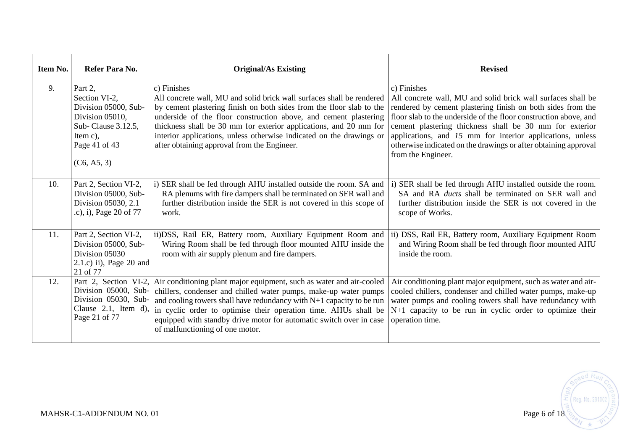| <b>Item No.</b> | Refer Para No.                                                                                                                         | <b>Original/As Existing</b>                                                                                                                                                                                                                                                                                                                                                                                                  | <b>Revised</b>                                                                                                                                                                                                                                                                                                                                                                                                                  |
|-----------------|----------------------------------------------------------------------------------------------------------------------------------------|------------------------------------------------------------------------------------------------------------------------------------------------------------------------------------------------------------------------------------------------------------------------------------------------------------------------------------------------------------------------------------------------------------------------------|---------------------------------------------------------------------------------------------------------------------------------------------------------------------------------------------------------------------------------------------------------------------------------------------------------------------------------------------------------------------------------------------------------------------------------|
| 9.              | Part 2,<br>Section VI-2,<br>Division 05000, Sub-<br>Division 05010,<br>Sub- Clause 3.12.5,<br>Item c),<br>Page 41 of 43<br>(C6, A5, 3) | c) Finishes<br>All concrete wall, MU and solid brick wall surfaces shall be rendered<br>by cement plastering finish on both sides from the floor slab to the<br>underside of the floor construction above, and cement plastering<br>thickness shall be 30 mm for exterior applications, and 20 mm for<br>interior applications, unless otherwise indicated on the drawings or<br>after obtaining approval from the Engineer. | c) Finishes<br>All concrete wall, MU and solid brick wall surfaces shall be<br>rendered by cement plastering finish on both sides from the<br>floor slab to the underside of the floor construction above, and<br>cement plastering thickness shall be 30 mm for exterior<br>applications, and 15 mm for interior applications, unless<br>otherwise indicated on the drawings or after obtaining approval<br>from the Engineer. |
| 10.             | Part 2, Section VI-2,<br>Division 05000, Sub-<br>Division 05030, 2.1<br>.c), i), Page 20 of 77                                         | i) SER shall be fed through AHU installed outside the room. SA and<br>RA plenums with fire dampers shall be terminated on SER wall and<br>further distribution inside the SER is not covered in this scope of<br>work.                                                                                                                                                                                                       | i) SER shall be fed through AHU installed outside the room.<br>SA and RA <i>ducts</i> shall be terminated on SER wall and<br>further distribution inside the SER is not covered in the<br>scope of Works.                                                                                                                                                                                                                       |
| 11.             | Part 2, Section VI-2,<br>Division 05000, Sub-<br>Division 05030<br>$2.1.c$ ) ii), Page $20$ and<br>21 of 77                            | ii) DSS, Rail ER, Battery room, Auxiliary Equipment Room and<br>Wiring Room shall be fed through floor mounted AHU inside the<br>room with air supply plenum and fire dampers.                                                                                                                                                                                                                                               | ii) DSS, Rail ER, Battery room, Auxiliary Equipment Room<br>and Wiring Room shall be fed through floor mounted AHU<br>inside the room.                                                                                                                                                                                                                                                                                          |
| 12.             | Part 2, Section VI-2,<br>Division 05000, Sub-<br>Division 05030, Sub-<br>Clause $2.1$ , Item d).<br>Page 21 of 77                      | Air conditioning plant major equipment, such as water and air-cooled<br>chillers, condenser and chilled water pumps, make-up water pumps<br>and cooling towers shall have redundancy with $N+1$ capacity to be run<br>in cyclic order to optimise their operation time. AHUs shall be<br>equipped with standby drive motor for automatic switch over in case<br>of malfunctioning of one motor.                              | Air conditioning plant major equipment, such as water and air-<br>cooled chillers, condenser and chilled water pumps, make-up<br>water pumps and cooling towers shall have redundancy with<br>$N+1$ capacity to be run in cyclic order to optimize their<br>operation time.                                                                                                                                                     |

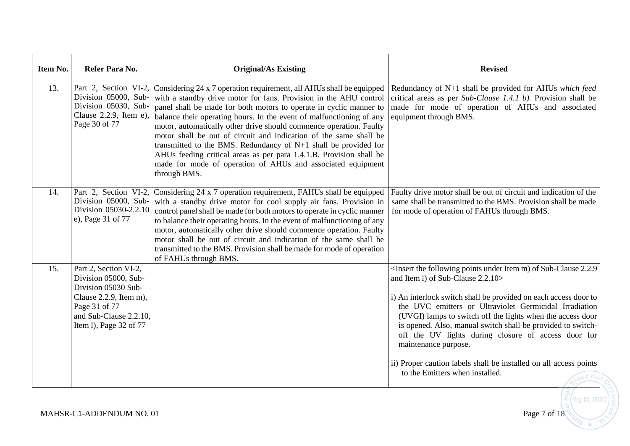| Item No. | Refer Para No.                                                                                                                                                      | <b>Original/As Existing</b>                                                                                                                                                                                                                                                                                                                                                                                                                                                                                                                                                                                                                                 | <b>Revised</b>                                                                                                                                                                                                                                                                                                                                                                                                                                                                            |
|----------|---------------------------------------------------------------------------------------------------------------------------------------------------------------------|-------------------------------------------------------------------------------------------------------------------------------------------------------------------------------------------------------------------------------------------------------------------------------------------------------------------------------------------------------------------------------------------------------------------------------------------------------------------------------------------------------------------------------------------------------------------------------------------------------------------------------------------------------------|-------------------------------------------------------------------------------------------------------------------------------------------------------------------------------------------------------------------------------------------------------------------------------------------------------------------------------------------------------------------------------------------------------------------------------------------------------------------------------------------|
| 13.      | Part 2, Section VI-2,<br>Division 05000, Sub-<br>Division 05030, Sub-<br>Clause $2.2.9$ , Item e),<br>Page 30 of 77                                                 | Considering 24 x 7 operation requirement, all AHUs shall be equipped<br>with a standby drive motor for fans. Provision in the AHU control<br>panel shall be made for both motors to operate in cyclic manner to<br>balance their operating hours. In the event of malfunctioning of any<br>motor, automatically other drive should commence operation. Faulty<br>motor shall be out of circuit and indication of the same shall be<br>transmitted to the BMS. Redundancy of N+1 shall be provided for<br>AHUs feeding critical areas as per para 1.4.1.B. Provision shall be<br>made for mode of operation of AHUs and associated equipment<br>through BMS. | Redundancy of N+1 shall be provided for AHUs which feed<br>critical areas as per Sub-Clause 1.4.1 b). Provision shall be<br>made for mode of operation of AHUs and associated<br>equipment through BMS.                                                                                                                                                                                                                                                                                   |
| 14.      | Part 2, Section VI-2,<br>Division 05000, Sub-<br>Division 05030-2.2.10<br>e), Page 31 of 77                                                                         | Considering 24 x 7 operation requirement, FAHUs shall be equipped<br>with a standby drive motor for cool supply air fans. Provision in<br>control panel shall be made for both motors to operate in cyclic manner<br>to balance their operating hours. In the event of malfunctioning of any<br>motor, automatically other drive should commence operation. Faulty<br>motor shall be out of circuit and indication of the same shall be<br>transmitted to the BMS. Provision shall be made for mode of operation<br>of FAHUs through BMS.                                                                                                                   | Faulty drive motor shall be out of circuit and indication of the<br>same shall be transmitted to the BMS. Provision shall be made<br>for mode of operation of FAHUs through BMS.                                                                                                                                                                                                                                                                                                          |
| 15.      | Part 2, Section VI-2,<br>Division 05000, Sub-<br>Division 05030 Sub-<br>Clause 2.2.9, Item m),<br>Page 31 of 77<br>and Sub-Clause 2.2.10,<br>Item 1), Page 32 of 77 |                                                                                                                                                                                                                                                                                                                                                                                                                                                                                                                                                                                                                                                             | <insert 2.2.9<br="" following="" item="" m)="" of="" points="" sub-clause="" the="" under="">and Item 1) of Sub-Clause 2.2.10&gt;<br/>i) An interlock switch shall be provided on each access door to<br/>the UVC emitters or Ultraviolet Germicidal Irradiation<br/>(UVGI) lamps to switch off the lights when the access door<br/>is opened. Also, manual switch shall be provided to switch-<br/>off the UV lights during closure of access door for<br/>maintenance purpose.</insert> |
|          |                                                                                                                                                                     |                                                                                                                                                                                                                                                                                                                                                                                                                                                                                                                                                                                                                                                             | ii) Proper caution labels shall be installed on all access points<br>to the Emitters when installed.                                                                                                                                                                                                                                                                                                                                                                                      |
|          | MAHSR-C1-ADDENDUM NO. 01                                                                                                                                            |                                                                                                                                                                                                                                                                                                                                                                                                                                                                                                                                                                                                                                                             | Reg. No. 29100<br>Page 7 of 18                                                                                                                                                                                                                                                                                                                                                                                                                                                            |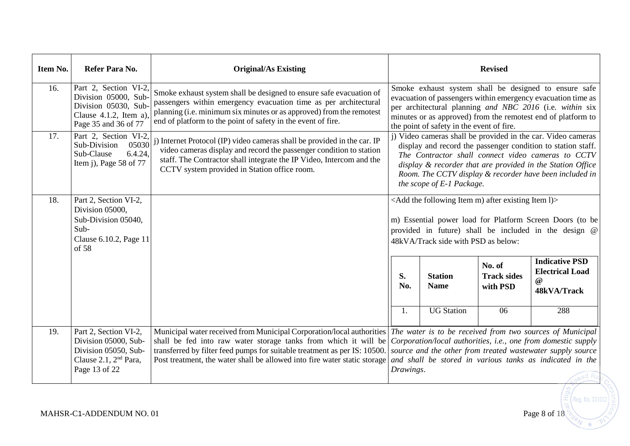| Item No. | Refer Para No.                                                                                                              | <b>Original/As Existing</b>                                                                                                                                                                                                                                                                        | <b>Revised</b>                                                                                                                                                                                                                                                                                                                           |                               |                                          |                                                                            |
|----------|-----------------------------------------------------------------------------------------------------------------------------|----------------------------------------------------------------------------------------------------------------------------------------------------------------------------------------------------------------------------------------------------------------------------------------------------|------------------------------------------------------------------------------------------------------------------------------------------------------------------------------------------------------------------------------------------------------------------------------------------------------------------------------------------|-------------------------------|------------------------------------------|----------------------------------------------------------------------------|
| 16.      | Part 2, Section VI-2,<br>Division 05000, Sub-<br>Division 05030, Sub-<br>Clause $4.1.2$ , Item a),<br>Page 35 and 36 of 77  | Smoke exhaust system shall be designed to ensure safe evacuation of<br>passengers within emergency evacuation time as per architectural<br>planning (i.e. minimum six minutes or as approved) from the remotest<br>end of platform to the point of safety in the event of fire.                    | Smoke exhaust system shall be designed to ensure safe<br>evacuation of passengers within emergency evacuation time as<br>per architectural planning and NBC 2016 (i.e. within six<br>minutes or as approved) from the remotest end of platform to<br>the point of safety in the event of fire.                                           |                               |                                          |                                                                            |
| 17.      | Part 2, Section VI-2,<br>05030<br>Sub-Division<br>Sub-Clause<br>6.4.24<br>Item j), Page 58 of $77$                          | j) Internet Protocol (IP) video cameras shall be provided in the car. IP<br>video cameras display and record the passenger condition to station<br>staff. The Contractor shall integrate the IP Video, Intercom and the<br>CCTV system provided in Station office room.                            | j) Video cameras shall be provided in the car. Video cameras<br>display and record the passenger condition to station staff.<br>The Contractor shall connect video cameras to CCTV<br>display & recorder that are provided in the Station Office<br>Room. The CCTV display & recorder have been included in<br>the scope of E-1 Package. |                               |                                          |                                                                            |
| 18.      | Part 2, Section VI-2,<br>Division 05000,<br>Sub-Division 05040,<br>Sub-<br>Clause 6.10.2, Page 11<br>of 58                  |                                                                                                                                                                                                                                                                                                    | <add 1)="" after="" existing="" following="" item="" m)="" the=""><br/>m) Essential power load for Platform Screen Doors (to be<br/>provided in future) shall be included in the design @<br/>48kVA/Track side with PSD as below:</add>                                                                                                  |                               |                                          |                                                                            |
|          |                                                                                                                             |                                                                                                                                                                                                                                                                                                    | S.<br>No.                                                                                                                                                                                                                                                                                                                                | <b>Station</b><br><b>Name</b> | No. of<br><b>Track sides</b><br>with PSD | <b>Indicative PSD</b><br><b>Electrical Load</b><br>$\omega$<br>48kVA/Track |
|          |                                                                                                                             |                                                                                                                                                                                                                                                                                                    | 1.                                                                                                                                                                                                                                                                                                                                       | <b>UG</b> Station             | 06                                       | 288                                                                        |
| 19.      | Part 2, Section VI-2,<br>Division 05000, Sub-<br>Division 05050, Sub-<br>Clause 2.1, 2 <sup>nd</sup> Para,<br>Page 13 of 22 | Municipal water received from Municipal Corporation/local authorities<br>shall be fed into raw water storage tanks from which it will be<br>transferred by filter feed pumps for suitable treatment as per IS: 10500.<br>Post treatment, the water shall be allowed into fire water static storage | The water is to be received from two sources of Municipal<br>Corporation/local authorities, i.e., one from domestic supply<br>source and the other from treated wastewater supply source<br>and shall be stored in various tanks as indicated in the<br>Drawings.                                                                        |                               |                                          |                                                                            |
|          | MAHSR-C1-ADDENDUM NO. 01                                                                                                    |                                                                                                                                                                                                                                                                                                    |                                                                                                                                                                                                                                                                                                                                          |                               |                                          | Reg. No. 29100<br>Page 8 of 18                                             |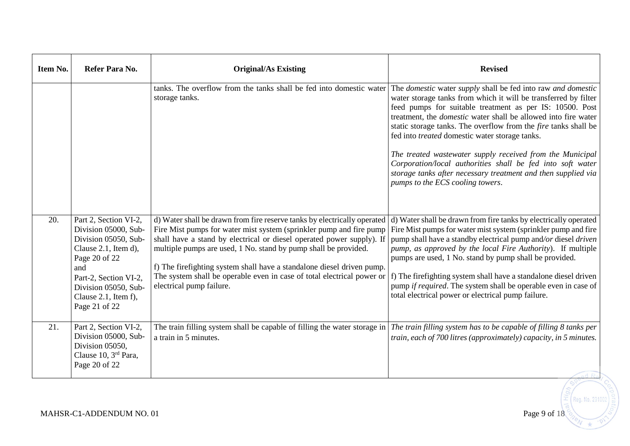| Item No. | Refer Para No.                                                                                                                                                                                                  | <b>Original/As Existing</b>                                                                                                                                                                                                                                                                                                                                                                                                                                                 | <b>Revised</b>                                                                                                                                                                                                                                                                                                                                                                                                                                                                                                                                                                                                                                        |
|----------|-----------------------------------------------------------------------------------------------------------------------------------------------------------------------------------------------------------------|-----------------------------------------------------------------------------------------------------------------------------------------------------------------------------------------------------------------------------------------------------------------------------------------------------------------------------------------------------------------------------------------------------------------------------------------------------------------------------|-------------------------------------------------------------------------------------------------------------------------------------------------------------------------------------------------------------------------------------------------------------------------------------------------------------------------------------------------------------------------------------------------------------------------------------------------------------------------------------------------------------------------------------------------------------------------------------------------------------------------------------------------------|
|          |                                                                                                                                                                                                                 | tanks. The overflow from the tanks shall be fed into domestic water<br>storage tanks.                                                                                                                                                                                                                                                                                                                                                                                       | The <i>domestic</i> water <i>supply</i> shall be fed into raw and <i>domestic</i><br>water storage tanks from which it will be transferred by filter<br>feed pumps for suitable treatment as per IS: 10500. Post<br>treatment, the <i>domestic</i> water shall be allowed into fire water<br>static storage tanks. The overflow from the <i>fire</i> tanks shall be<br>fed into treated domestic water storage tanks.<br>The treated wastewater supply received from the Municipal<br>Corporation/local authorities shall be fed into soft water<br>storage tanks after necessary treatment and then supplied via<br>pumps to the ECS cooling towers. |
| 20.      | Part 2, Section VI-2,<br>Division 05000, Sub-<br>Division 05050, Sub-<br>Clause 2.1, Item d),<br>Page 20 of 22<br>and<br>Part-2, Section VI-2,<br>Division 05050, Sub-<br>Clause 2.1, Item f),<br>Page 21 of 22 | d) Water shall be drawn from fire reserve tanks by electrically operated<br>Fire Mist pumps for water mist system (sprinkler pump and fire pump<br>shall have a stand by electrical or diesel operated power supply). If<br>multiple pumps are used, 1 No. stand by pump shall be provided.<br>f) The firefighting system shall have a standalone diesel driven pump.<br>The system shall be operable even in case of total electrical power or<br>electrical pump failure. | d) Water shall be drawn from fire tanks by electrically operated<br>Fire Mist pumps for water mist system (sprinkler pump and fire<br>pump shall have a standby electrical pump and/or diesel driven<br>pump, as approved by the local Fire Authority). If multiple<br>pumps are used, 1 No. stand by pump shall be provided.<br>f) The firefighting system shall have a standalone diesel driven<br>pump <i>if required</i> . The system shall be operable even in case of<br>total electrical power or electrical pump failure.                                                                                                                     |
| 21.      | Part 2, Section VI-2,<br>Division 05000, Sub-<br>Division 05050,<br>Clause 10, 3rd Para,<br>Page 20 of 22                                                                                                       | The train filling system shall be capable of filling the water storage in<br>a train in 5 minutes.                                                                                                                                                                                                                                                                                                                                                                          | The train filling system has to be capable of filling 8 tanks per<br>train, each of 700 litres (approximately) capacity, in 5 minutes.                                                                                                                                                                                                                                                                                                                                                                                                                                                                                                                |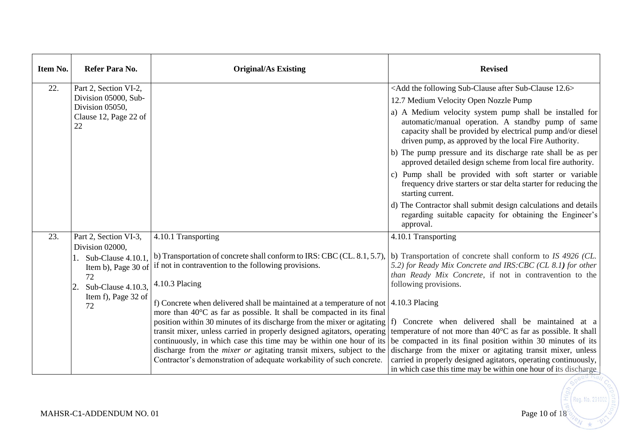| Item No. | Refer Para No.                                 | <b>Original/As Existing</b>                                                                                                                         | <b>Revised</b>                                                                                                                                                                                                                        |
|----------|------------------------------------------------|-----------------------------------------------------------------------------------------------------------------------------------------------------|---------------------------------------------------------------------------------------------------------------------------------------------------------------------------------------------------------------------------------------|
| 22.      | Part 2, Section VI-2,                          |                                                                                                                                                     | <add 12.6="" after="" following="" sub-clause="" the=""></add>                                                                                                                                                                        |
|          | Division 05000, Sub-                           |                                                                                                                                                     | 12.7 Medium Velocity Open Nozzle Pump                                                                                                                                                                                                 |
|          | Division 05050,<br>Clause 12, Page 22 of<br>22 |                                                                                                                                                     | a) A Medium velocity system pump shall be installed for<br>automatic/manual operation. A standby pump of same<br>capacity shall be provided by electrical pump and/or diesel<br>driven pump, as approved by the local Fire Authority. |
|          |                                                |                                                                                                                                                     | b) The pump pressure and its discharge rate shall be as per<br>approved detailed design scheme from local fire authority.                                                                                                             |
|          |                                                |                                                                                                                                                     | c) Pump shall be provided with soft starter or variable<br>frequency drive starters or star delta starter for reducing the<br>starting current.                                                                                       |
|          |                                                |                                                                                                                                                     | d) The Contractor shall submit design calculations and details<br>regarding suitable capacity for obtaining the Engineer's<br>approval.                                                                                               |
| 23.      | Part 2, Section VI-3,<br>Division 02000,       | 4.10.1 Transporting                                                                                                                                 | 4.10.1 Transporting                                                                                                                                                                                                                   |
|          | Sub-Clause 4.10.1.                             | b) Transportation of concrete shall conform to IRS: CBC (CL. 8.1, 5.7),                                                                             | b) Transportation of concrete shall conform to IS 4926 (CL.                                                                                                                                                                           |
|          | Item b), Page 30 of                            | if not in contravention to the following provisions.                                                                                                | 5.2) for Ready Mix Concrete and IRS: CBC (CL 8.1) for other                                                                                                                                                                           |
|          | 72                                             | 4.10.3 Placing                                                                                                                                      | than Ready Mix Concrete, if not in contravention to the                                                                                                                                                                               |
|          | Sub-Clause 4.10.3,<br>2.                       |                                                                                                                                                     | following provisions.                                                                                                                                                                                                                 |
|          | Item f), Page 32 of<br>72                      | f) Concrete when delivered shall be maintained at a temperature of not $\vert$ 4.10.3 Placing                                                       |                                                                                                                                                                                                                                       |
|          |                                                | more than $40^{\circ}$ C as far as possible. It shall be compacted in its final                                                                     |                                                                                                                                                                                                                                       |
|          |                                                | position within 30 minutes of its discharge from the mixer or agitating $ f $ . Concrete when delivered shall be maintained at a                    |                                                                                                                                                                                                                                       |
|          |                                                | transit mixer, unless carried in properly designed agitators, operating                                                                             | temperature of not more than $40^{\circ}$ C as far as possible. It shall                                                                                                                                                              |
|          |                                                | continuously, in which case this time may be within one hour of its                                                                                 | be compacted in its final position within 30 minutes of its                                                                                                                                                                           |
|          |                                                | discharge from the <i>mixer</i> or agitating transit mixers, subject to the<br>Contractor's demonstration of adequate workability of such concrete. | discharge from the mixer or agitating transit mixer, unless<br>carried in properly designed agitators, operating continuously,                                                                                                        |
|          |                                                |                                                                                                                                                     | in which case this time may be within one hour of its discharge.                                                                                                                                                                      |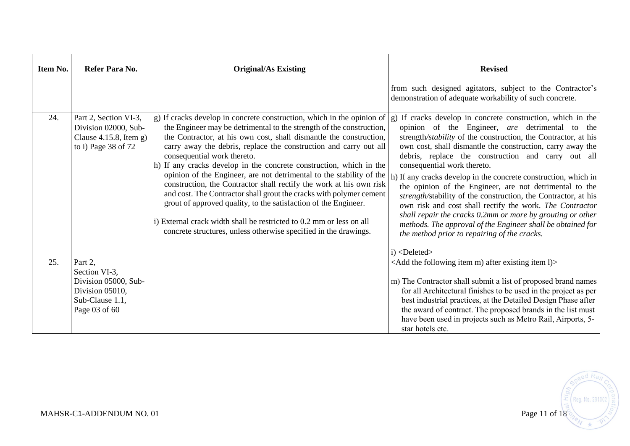| Item No. | Refer Para No.                                                                                          | <b>Original/As Existing</b>                                                                                                                                                                                                                                                                                                                                                                                                                                                                                                                                                                                                                                                                                                                                                                                                          | <b>Revised</b>                                                                                                                                                                                                                                                                                                                                                                                                                                                                                                                                                                                                                                                                                                                                                                                            |
|----------|---------------------------------------------------------------------------------------------------------|--------------------------------------------------------------------------------------------------------------------------------------------------------------------------------------------------------------------------------------------------------------------------------------------------------------------------------------------------------------------------------------------------------------------------------------------------------------------------------------------------------------------------------------------------------------------------------------------------------------------------------------------------------------------------------------------------------------------------------------------------------------------------------------------------------------------------------------|-----------------------------------------------------------------------------------------------------------------------------------------------------------------------------------------------------------------------------------------------------------------------------------------------------------------------------------------------------------------------------------------------------------------------------------------------------------------------------------------------------------------------------------------------------------------------------------------------------------------------------------------------------------------------------------------------------------------------------------------------------------------------------------------------------------|
|          |                                                                                                         |                                                                                                                                                                                                                                                                                                                                                                                                                                                                                                                                                                                                                                                                                                                                                                                                                                      | from such designed agitators, subject to the Contractor's<br>demonstration of adequate workability of such concrete.                                                                                                                                                                                                                                                                                                                                                                                                                                                                                                                                                                                                                                                                                      |
| 24.      | Part 2, Section VI-3,<br>Division 02000, Sub-<br>Clause $4.15.8$ , Item g)<br>to i) Page 38 of 72       | g) If cracks develop in concrete construction, which in the opinion of<br>the Engineer may be detrimental to the strength of the construction,<br>the Contractor, at his own cost, shall dismantle the construction,<br>carry away the debris, replace the construction and carry out all<br>consequential work thereto.<br>h) If any cracks develop in the concrete construction, which in the<br>opinion of the Engineer, are not detrimental to the stability of the<br>construction, the Contractor shall rectify the work at his own risk<br>and cost. The Contractor shall grout the cracks with polymer cement<br>grout of approved quality, to the satisfaction of the Engineer.<br>i) External crack width shall be restricted to 0.2 mm or less on all<br>concrete structures, unless otherwise specified in the drawings. | If cracks develop in concrete construction, which in the<br>$\left( \frac{1}{2} \right)$<br>opinion of the Engineer, are detrimental to the<br>strength/stability of the construction, the Contractor, at his<br>own cost, shall dismantle the construction, carry away the<br>debris, replace the construction and carry out all<br>consequential work thereto.<br>h) If any cracks develop in the concrete construction, which in<br>the opinion of the Engineer, are not detrimental to the<br>strength/stability of the construction, the Contractor, at his<br>own risk and cost shall rectify the work. The Contractor<br>shall repair the cracks 0.2mm or more by grouting or other<br>methods. The approval of the Engineer shall be obtained for<br>the method prior to repairing of the cracks. |
|          |                                                                                                         |                                                                                                                                                                                                                                                                                                                                                                                                                                                                                                                                                                                                                                                                                                                                                                                                                                      | $i)$ <deleted></deleted>                                                                                                                                                                                                                                                                                                                                                                                                                                                                                                                                                                                                                                                                                                                                                                                  |
| 25.      | Part 2,<br>Section VI-3,<br>Division 05000, Sub-<br>Division 05010,<br>Sub-Clause 1.1,<br>Page 03 of 60 |                                                                                                                                                                                                                                                                                                                                                                                                                                                                                                                                                                                                                                                                                                                                                                                                                                      | <add after="" existing="" following="" item="" l)="" m)="" the=""><br/>m) The Contractor shall submit a list of proposed brand names<br/>for all Architectural finishes to be used in the project as per<br/>best industrial practices, at the Detailed Design Phase after<br/>the award of contract. The proposed brands in the list must<br/>have been used in projects such as Metro Rail, Airports, 5-<br/>star hotels etc.</add>                                                                                                                                                                                                                                                                                                                                                                     |

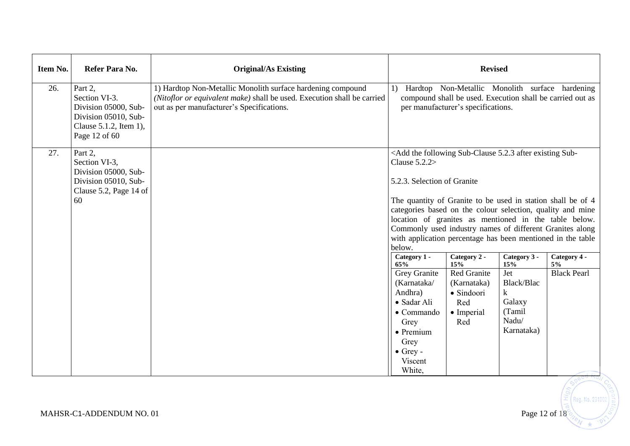| Item No. | Refer Para No.                                                                                                      | <b>Original/As Existing</b>                                                                                                                                                         | <b>Revised</b>                                                                                                                                                           |                                                                                                                                                                                                                                                                                                                                                                                                                                         |                                                                                                |                                             |  |
|----------|---------------------------------------------------------------------------------------------------------------------|-------------------------------------------------------------------------------------------------------------------------------------------------------------------------------------|--------------------------------------------------------------------------------------------------------------------------------------------------------------------------|-----------------------------------------------------------------------------------------------------------------------------------------------------------------------------------------------------------------------------------------------------------------------------------------------------------------------------------------------------------------------------------------------------------------------------------------|------------------------------------------------------------------------------------------------|---------------------------------------------|--|
| 26.      | Part 2,<br>Section VI-3.<br>Division 05000, Sub-<br>Division 05010, Sub-<br>Clause 5.1.2, Item 1),<br>Page 12 of 60 | 1) Hardtop Non-Metallic Monolith surface hardening compound<br>(Nitoflor or equivalent make) shall be used. Execution shall be carried<br>out as per manufacturer's Specifications. | Hardtop Non-Metallic Monolith surface hardening<br>$\left( \right)$<br>compound shall be used. Execution shall be carried out as<br>per manufacturer's specifications.   |                                                                                                                                                                                                                                                                                                                                                                                                                                         |                                                                                                |                                             |  |
| 27.      | Part 2,<br>Section VI-3,<br>Division 05000, Sub-<br>Division 05010, Sub-<br>Clause 5.2, Page 14 of<br>60            |                                                                                                                                                                                     | Clause $5.2.2$<br>below.                                                                                                                                                 | <add 5.2.3="" after="" existing="" following="" sub-<br="" sub-clause="" the="">5.2.3. Selection of Granite<br/>The quantity of Granite to be used in station shall be of 4<br/>categories based on the colour selection, quality and mine<br/>location of granites as mentioned in the table below.<br/>Commonly used industry names of different Granites along<br/>with application percentage has been mentioned in the table</add> |                                                                                                |                                             |  |
|          |                                                                                                                     |                                                                                                                                                                                     | Category 1 -<br>65%<br>Grey Granite<br>(Karnataka/<br>Andhra)<br>• Sadar Ali<br>• Commando<br>Grey<br>$\bullet$ Premium<br>Grey<br>$\bullet$ Grey -<br>Viscent<br>White, | Category 2 -<br>15%<br>Red Granite<br>(Karnataka)<br>· Sindoori<br>Red<br>• Imperial<br>Red                                                                                                                                                                                                                                                                                                                                             | Category 3 -<br>15%<br>Jet<br>Black/Blac<br>$\bf k$<br>Galaxy<br>(Tamil<br>Nadu/<br>Karnataka) | Category 4 -<br>$5\%$<br><b>Black Pearl</b> |  |

Reg. No. 29100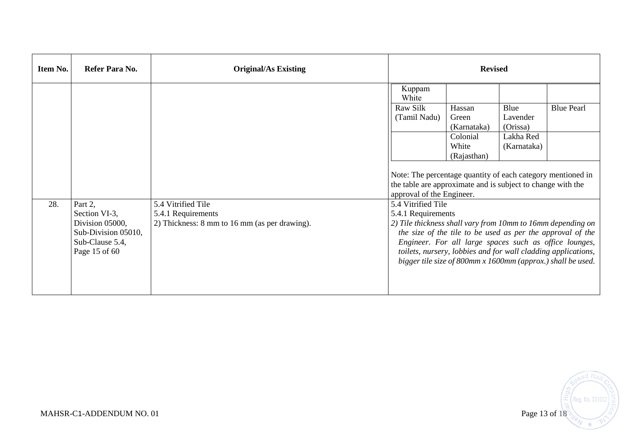| Item No. | Refer Para No.                                                             | <b>Original/As Existing</b>                   | <b>Revised</b>                                                                                                                                                                                                                                                                                                      |                                  |                          |                   |  |  |
|----------|----------------------------------------------------------------------------|-----------------------------------------------|---------------------------------------------------------------------------------------------------------------------------------------------------------------------------------------------------------------------------------------------------------------------------------------------------------------------|----------------------------------|--------------------------|-------------------|--|--|
|          |                                                                            |                                               | Kuppam<br>White<br>Raw Silk                                                                                                                                                                                                                                                                                         | Hassan                           | Blue                     | <b>Blue Pearl</b> |  |  |
|          |                                                                            |                                               | (Tamil Nadu)                                                                                                                                                                                                                                                                                                        | Green<br>(Karnataka)             | Lavender<br>(Orissa)     |                   |  |  |
|          |                                                                            |                                               |                                                                                                                                                                                                                                                                                                                     | Colonial<br>White<br>(Rajasthan) | Lakha Red<br>(Karnataka) |                   |  |  |
|          |                                                                            |                                               | Note: The percentage quantity of each category mentioned in<br>the table are approximate and is subject to change with the<br>approval of the Engineer.                                                                                                                                                             |                                  |                          |                   |  |  |
| 28.      | Part 2,<br>Section VI-3,                                                   | 5.4 Vitrified Tile<br>5.4.1 Requirements      | 5.4 Vitrified Tile<br>5.4.1 Requirements                                                                                                                                                                                                                                                                            |                                  |                          |                   |  |  |
|          | Division 05000,<br>Sub-Division 05010,<br>Sub-Clause 5.4,<br>Page 15 of 60 | 2) Thickness: 8 mm to 16 mm (as per drawing). | 2) Tile thickness shall vary from 10mm to 16mm depending on<br>the size of the tile to be used as per the approval of the<br>Engineer. For all large spaces such as office lounges,<br>toilets, nursery, lobbies and for wall cladding applications,<br>bigger tile size of 800mm x 1600mm (approx.) shall be used. |                                  |                          |                   |  |  |

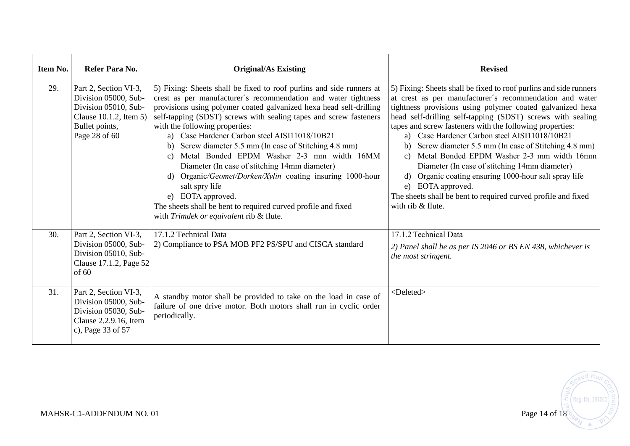| Item No. | Refer Para No.                                                                                                                     | <b>Original/As Existing</b>                                                                                                                                                                                                                                                                                                                                                                                                                                                                                                                                                                                                                                                                                                                            | <b>Revised</b>                                                                                                                                                                                                                                                                                                                                                                                                                                                                                                                                                                                                                                                                                                       |
|----------|------------------------------------------------------------------------------------------------------------------------------------|--------------------------------------------------------------------------------------------------------------------------------------------------------------------------------------------------------------------------------------------------------------------------------------------------------------------------------------------------------------------------------------------------------------------------------------------------------------------------------------------------------------------------------------------------------------------------------------------------------------------------------------------------------------------------------------------------------------------------------------------------------|----------------------------------------------------------------------------------------------------------------------------------------------------------------------------------------------------------------------------------------------------------------------------------------------------------------------------------------------------------------------------------------------------------------------------------------------------------------------------------------------------------------------------------------------------------------------------------------------------------------------------------------------------------------------------------------------------------------------|
| 29.      | Part 2, Section VI-3,<br>Division 05000, Sub-<br>Division 05010, Sub-<br>Clause 10.1.2, Item 5)<br>Bullet points,<br>Page 28 of 60 | 5) Fixing: Sheets shall be fixed to roof purlins and side runners at<br>crest as per manufacturer's recommendation and water tightness<br>provisions using polymer coated galvanized hexa head self-drilling<br>self-tapping (SDST) screws with sealing tapes and screw fasteners<br>with the following properties:<br>a) Case Hardener Carbon steel AISI11018/10B21<br>Screw diameter 5.5 mm (In case of Stitching 4.8 mm)<br>b)<br>Metal Bonded EPDM Washer 2-3 mm width 16MM<br>C)<br>Diameter (In case of stitching 14mm diameter)<br>d) Organic/Geomet/Dorken/Xylin coating insuring 1000-hour<br>salt spry life<br>e) EOTA approved.<br>The sheets shall be bent to required curved profile and fixed<br>with Trimdek or equivalent rib & flute. | 5) Fixing: Sheets shall be fixed to roof purlins and side runners<br>at crest as per manufacturer's recommendation and water<br>tightness provisions using polymer coated galvanized hexa<br>head self-drilling self-tapping (SDST) screws with sealing<br>tapes and screw fasteners with the following properties:<br>a) Case Hardener Carbon steel AISI11018/10B21<br>Screw diameter 5.5 mm (In case of Stitching 4.8 mm)<br>Metal Bonded EPDM Washer 2-3 mm width 16mm<br>$\mathcal{C}$ )<br>Diameter (In case of stitching 14mm diameter)<br>d) Organic coating ensuring 1000-hour salt spray life<br>EOTA approved.<br>e)<br>The sheets shall be bent to required curved profile and fixed<br>with rib & flute. |
| 30.      | Part 2, Section VI-3,<br>Division 05000, Sub-<br>Division 05010, Sub-<br>Clause 17.1.2, Page 52<br>of 60                           | 17.1.2 Technical Data<br>2) Compliance to PSA MOB PF2 PS/SPU and CISCA standard                                                                                                                                                                                                                                                                                                                                                                                                                                                                                                                                                                                                                                                                        | 17.1.2 Technical Data<br>2) Panel shall be as per IS 2046 or BS EN 438, whichever is<br>the most stringent.                                                                                                                                                                                                                                                                                                                                                                                                                                                                                                                                                                                                          |
| 31.      | Part 2, Section VI-3,<br>Division 05000, Sub-<br>Division 05030, Sub-<br>Clause 2.2.9.16, Item<br>c), Page 33 of 57                | A standby motor shall be provided to take on the load in case of<br>failure of one drive motor. Both motors shall run in cyclic order<br>periodically.                                                                                                                                                                                                                                                                                                                                                                                                                                                                                                                                                                                                 | <deleted></deleted>                                                                                                                                                                                                                                                                                                                                                                                                                                                                                                                                                                                                                                                                                                  |

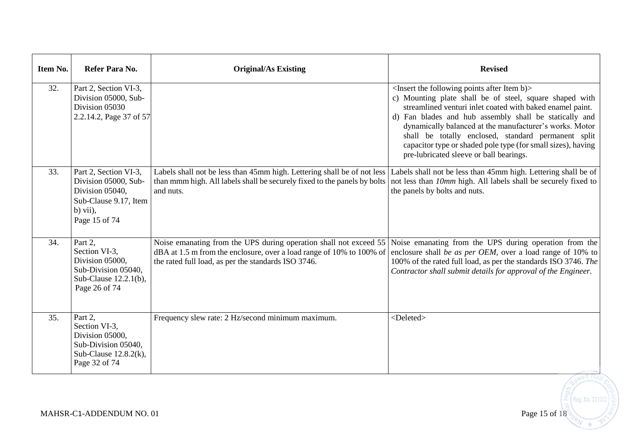| Item No. | Refer Para No.                                                                                                           | <b>Original/As Existing</b>                                                                                                                                                                                                                                                                      | <b>Revised</b>                                                                                                                                                                                                                                                                                                                                                                                                                                                                               |
|----------|--------------------------------------------------------------------------------------------------------------------------|--------------------------------------------------------------------------------------------------------------------------------------------------------------------------------------------------------------------------------------------------------------------------------------------------|----------------------------------------------------------------------------------------------------------------------------------------------------------------------------------------------------------------------------------------------------------------------------------------------------------------------------------------------------------------------------------------------------------------------------------------------------------------------------------------------|
| 32.      | Part 2, Section VI-3,<br>Division 05000, Sub-<br>Division 05030<br>2.2.14.2, Page 37 of 57                               |                                                                                                                                                                                                                                                                                                  | <insert after="" b)="" following="" item="" points="" the=""><br/>c) Mounting plate shall be of steel, square shaped with<br/>streamlined venturi inlet coated with baked enamel paint.<br/>d) Fan blades and hub assembly shall be statically and<br/>dynamically balanced at the manufacturer's works. Motor<br/>shall be totally enclosed, standard permanent split<br/>capacitor type or shaded pole type (for small sizes), having<br/>pre-lubricated sleeve or ball bearings.</insert> |
| 33.      | Part 2, Section VI-3,<br>Division 05000, Sub-<br>Division 05040,<br>Sub-Clause 9.17, Item<br>$b)$ vii),<br>Page 15 of 74 | Labels shall not be less than 45mm high. Lettering shall be of not less Labels shall not be less than 45mm high. Lettering shall be of<br>than mmm high. All labels shall be securely fixed to the panels by bolts not less than $10mm$ high. All labels shall be securely fixed to<br>and nuts. | the panels by bolts and nuts.                                                                                                                                                                                                                                                                                                                                                                                                                                                                |
| 34.      | Part 2,<br>Section VI-3,<br>Division 05000,<br>Sub-Division 05040,<br>Sub-Clause 12.2.1(b),<br>Page 26 of 74             | Noise emanating from the UPS during operation shall not exceed 55<br>dBA at 1.5 m from the enclosure, over a load range of 10% to 100% of<br>the rated full load, as per the standards ISO 3746.                                                                                                 | Noise emanating from the UPS during operation from the<br>enclosure shall be as per OEM, over a load range of 10% to<br>100% of the rated full load, as per the standards ISO 3746. The<br>Contractor shall submit details for approval of the Engineer.                                                                                                                                                                                                                                     |
| 35.      | Part 2,<br>Section VI-3,<br>Division 05000,<br>Sub-Division 05040,<br>Sub-Clause $12.8.2(k)$ ,<br>Page 32 of 74          | Frequency slew rate: 2 Hz/second minimum maximum.                                                                                                                                                                                                                                                | <deleted></deleted>                                                                                                                                                                                                                                                                                                                                                                                                                                                                          |

Reg. No. 29100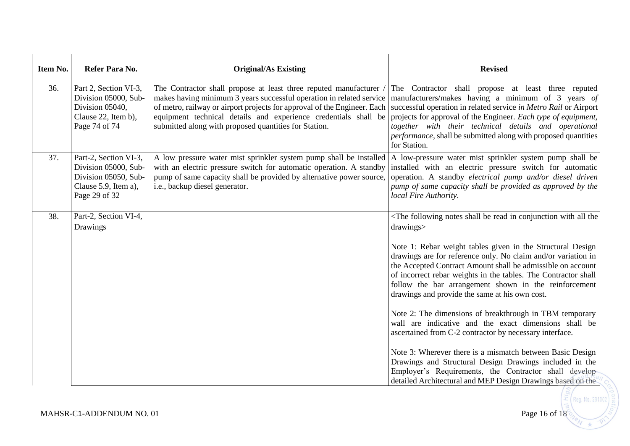| Item No. | Refer Para No.                                                                                                 | <b>Original/As Existing</b>                                                                                                                                                                                                                                                                                                                                                   | <b>Revised</b>                                                                                                                                                                                                                                                                                                                                                                                     |
|----------|----------------------------------------------------------------------------------------------------------------|-------------------------------------------------------------------------------------------------------------------------------------------------------------------------------------------------------------------------------------------------------------------------------------------------------------------------------------------------------------------------------|----------------------------------------------------------------------------------------------------------------------------------------------------------------------------------------------------------------------------------------------------------------------------------------------------------------------------------------------------------------------------------------------------|
| 36.      | Part 2, Section VI-3,<br>Division 05000, Sub-<br>Division 05040,<br>Clause 22, Item b),<br>Page 74 of 74       | The Contractor shall propose at least three reputed manufacturer<br>makes having minimum 3 years successful operation in related service<br>of metro, railway or airport projects for approval of the Engineer. Each<br>equipment technical details and experience credentials shall be<br>submitted along with proposed quantities for Station.                              | The Contractor shall propose at least three reputed<br>manufacturers/makes having a minimum of 3 years of<br>successful operation in related service in Metro Rail or Airport<br>projects for approval of the Engineer. Each type of equipment,<br>together with their technical details and operational<br><i>performance</i> , shall be submitted along with proposed quantities<br>for Station. |
| 37.      | Part-2, Section VI-3,<br>Division 05000, Sub-<br>Division 05050, Sub-<br>Clause 5.9, Item a),<br>Page 29 of 32 | A low pressure water mist sprinkler system pump shall be installed A low-pressure water mist sprinkler system pump shall be<br>with an electric pressure switch for automatic operation. A standby<br>pump of same capacity shall be provided by alternative power source, operation. A standby <i>electrical pump and/or diesel driven</i><br>i.e., backup diesel generator. | installed with an electric pressure switch for automatic<br>pump of same capacity shall be provided as approved by the<br>local Fire Authority.                                                                                                                                                                                                                                                    |
| 38.      | Part-2, Section VI-4,<br>Drawings                                                                              |                                                                                                                                                                                                                                                                                                                                                                               | <the all="" be="" conjunction="" following="" in="" notes="" read="" shall="" the<br="" with="">drawings&gt;</the>                                                                                                                                                                                                                                                                                 |
|          |                                                                                                                |                                                                                                                                                                                                                                                                                                                                                                               | Note 1: Rebar weight tables given in the Structural Design<br>drawings are for reference only. No claim and/or variation in<br>the Accepted Contract Amount shall be admissible on account<br>of incorrect rebar weights in the tables. The Contractor shall<br>follow the bar arrangement shown in the reinforcement<br>drawings and provide the same at his own cost.                            |
|          |                                                                                                                |                                                                                                                                                                                                                                                                                                                                                                               | Note 2: The dimensions of breakthrough in TBM temporary<br>wall are indicative and the exact dimensions shall be<br>ascertained from C-2 contractor by necessary interface.                                                                                                                                                                                                                        |
|          |                                                                                                                |                                                                                                                                                                                                                                                                                                                                                                               | Note 3: Wherever there is a mismatch between Basic Design<br>Drawings and Structural Design Drawings included in the<br>Employer's Requirements, the Contractor shall develop-<br>detailed Architectural and MEP Design Drawings based on the                                                                                                                                                      |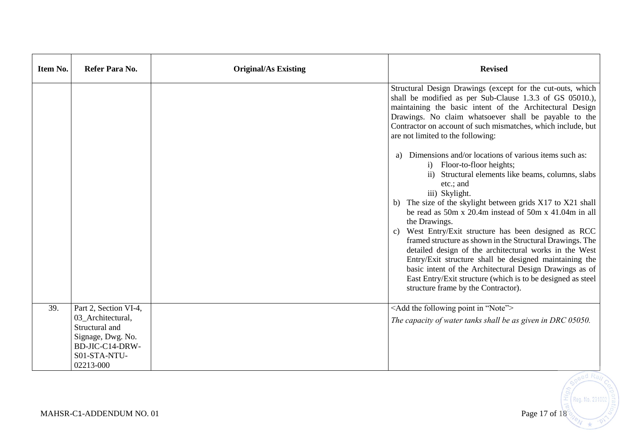| Item No. | Refer Para No.                                                                                                                    | <b>Original/As Existing</b> | <b>Revised</b>                                                                                                                                                                                                                                                                                                                                                                                                                                                                                                                                                                                                                                                                                                                                                                                                                                             |
|----------|-----------------------------------------------------------------------------------------------------------------------------------|-----------------------------|------------------------------------------------------------------------------------------------------------------------------------------------------------------------------------------------------------------------------------------------------------------------------------------------------------------------------------------------------------------------------------------------------------------------------------------------------------------------------------------------------------------------------------------------------------------------------------------------------------------------------------------------------------------------------------------------------------------------------------------------------------------------------------------------------------------------------------------------------------|
|          |                                                                                                                                   |                             | Structural Design Drawings (except for the cut-outs, which<br>shall be modified as per Sub-Clause 1.3.3 of GS 05010.),<br>maintaining the basic intent of the Architectural Design<br>Drawings. No claim whatsoever shall be payable to the<br>Contractor on account of such mismatches, which include, but<br>are not limited to the following:<br>Dimensions and/or locations of various items such as:<br>a)<br>i) Floor-to-floor heights;<br>ii) Structural elements like beams, columns, slabs<br>etc.; and<br>iii) Skylight.<br>b) The size of the skylight between grids X17 to X21 shall<br>be read as 50m x 20.4m instead of 50m x 41.04m in all<br>the Drawings.<br>c) West Entry/Exit structure has been designed as RCC<br>framed structure as shown in the Structural Drawings. The<br>detailed design of the architectural works in the West |
|          |                                                                                                                                   |                             | Entry/Exit structure shall be designed maintaining the<br>basic intent of the Architectural Design Drawings as of<br>East Entry/Exit structure (which is to be designed as steel<br>structure frame by the Contractor).                                                                                                                                                                                                                                                                                                                                                                                                                                                                                                                                                                                                                                    |
| 39.      | Part 2, Section VI-4,<br>03_Architectural,<br>Structural and<br>Signage, Dwg. No.<br>BD-JIC-C14-DRW-<br>S01-STA-NTU-<br>02213-000 |                             | <add "note"="" following="" in="" point="" the=""><br/>The capacity of water tanks shall be as given in DRC 05050.</add>                                                                                                                                                                                                                                                                                                                                                                                                                                                                                                                                                                                                                                                                                                                                   |